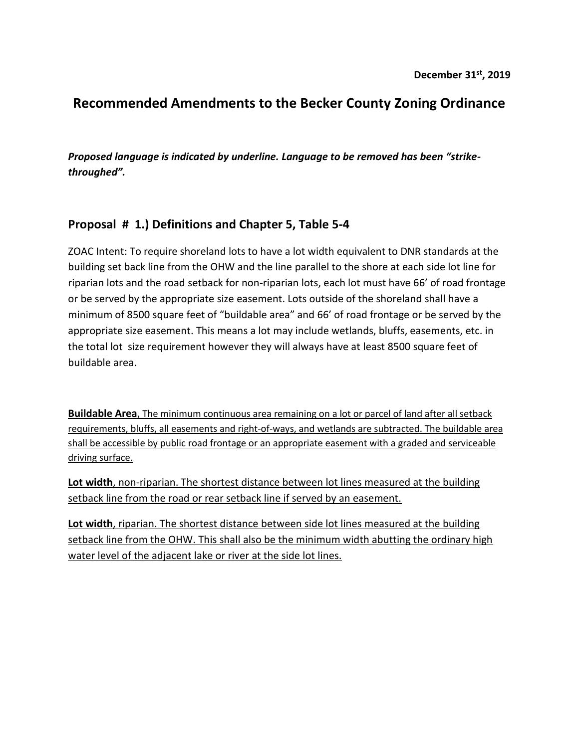# **Recommended Amendments to the Becker County Zoning Ordinance**

*Proposed language is indicated by underline. Language to be removed has been "strikethroughed".*

#### **Proposal # 1.) Definitions and Chapter 5, Table 5-4**

ZOAC Intent: To require shoreland lots to have a lot width equivalent to DNR standards at the building set back line from the OHW and the line parallel to the shore at each side lot line for riparian lots and the road setback for non-riparian lots, each lot must have 66' of road frontage or be served by the appropriate size easement. Lots outside of the shoreland shall have a minimum of 8500 square feet of "buildable area" and 66' of road frontage or be served by the appropriate size easement. This means a lot may include wetlands, bluffs, easements, etc. in the total lot size requirement however they will always have at least 8500 square feet of buildable area.

**Buildable Area**, The minimum continuous area remaining on a lot or parcel of land after all setback requirements, bluffs, all easements and right-of-ways, and wetlands are subtracted. The buildable area shall be accessible by public road frontage or an appropriate easement with a graded and serviceable driving surface.

**Lot width**, non-riparian. The shortest distance between lot lines measured at the building setback line from the road or rear setback line if served by an easement.

**Lot width**, riparian. The shortest distance between side lot lines measured at the building setback line from the OHW. This shall also be the minimum width abutting the ordinary high water level of the adjacent lake or river at the side lot lines.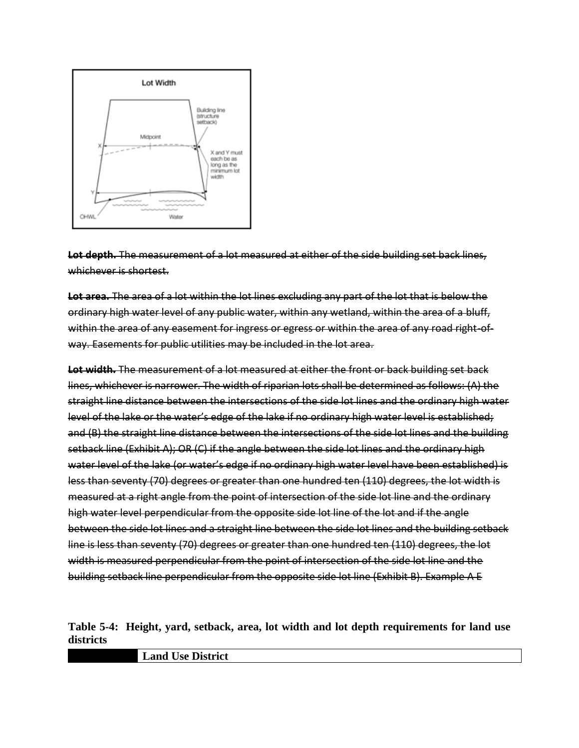

**Lot depth.** The measurement of a lot measured at either of the side building set back lines, whichever is shortest.

**Lot area.** The area of a lot within the lot lines excluding any part of the lot that is below the ordinary high water level of any public water, within any wetland, within the area of a bluff, within the area of any easement for ingress or egress or within the area of any road right-ofway. Easements for public utilities may be included in the lot area.

**Lot width.** The measurement of a lot measured at either the front or back building set back lines, whichever is narrower. The width of riparian lots shall be determined as follows: (A) the straight line distance between the intersections of the side lot lines and the ordinary high water level of the lake or the water's edge of the lake if no ordinary high water level is established; and (B) the straight line distance between the intersections of the side lot lines and the building setback line (Exhibit A); OR (C) if the angle between the side lot lines and the ordinary high water level of the lake (or water's edge if no ordinary high water level have been established) is less than seventy (70) degrees or greater than one hundred ten (110) degrees, the lot width is measured at a right angle from the point of intersection of the side lot line and the ordinary high water level perpendicular from the opposite side lot line of the lot and if the angle between the side lot lines and a straight line between the side lot lines and the building setback line is less than seventy (70) degrees or greater than one hundred ten (110) degrees, the lot width is measured perpendicular from the point of intersection of the side lot line and the building setback line perpendicular from the opposite side lot line (Exhibit B). Example A E

**Table 5-4: Height, yard, setback, area, lot width and lot depth requirements for land use districts**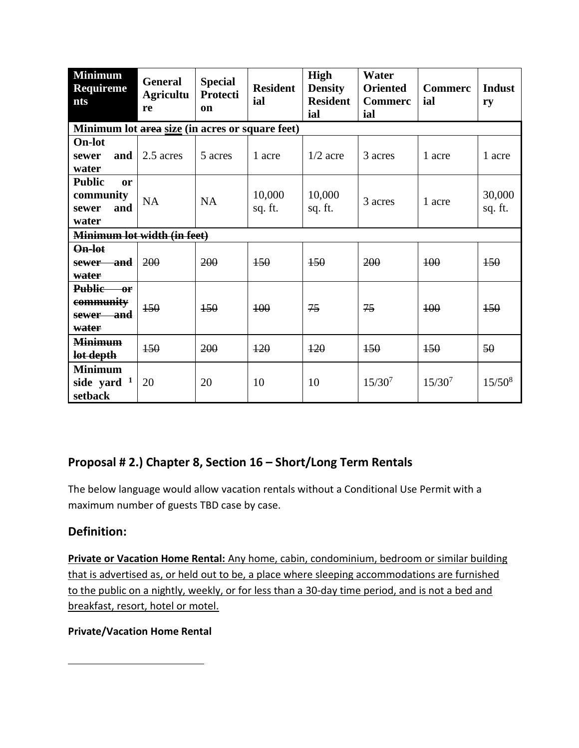| <b>Minimum</b><br><b>General</b><br><b>Requireme</b><br><b>Agricultu</b><br><b>nts</b><br>re |           | <b>Special</b><br>Protecti<br>on | <b>Resident</b><br>ial | <b>High</b><br><b>Density</b><br><b>Resident</b><br>ial | Water<br><b>Oriented</b><br><b>Commerc</b><br>ial | <b>Commerc</b><br>ial | <b>Indust</b><br>ry |  |  |  |  |  |
|----------------------------------------------------------------------------------------------|-----------|----------------------------------|------------------------|---------------------------------------------------------|---------------------------------------------------|-----------------------|---------------------|--|--|--|--|--|
| Minimum lot area size (in acres or square feet)                                              |           |                                  |                        |                                                         |                                                   |                       |                     |  |  |  |  |  |
| <b>On-lot</b><br>and<br>sewer<br>water                                                       | 2.5 acres | 5 acres                          | 1 acre                 | $1/2$ acre                                              | 3 acres                                           | 1 acre                | 1 acre              |  |  |  |  |  |
| <b>Public</b><br><sub>or</sub><br>community<br>and<br>sewer<br>water                         | <b>NA</b> | <b>NA</b>                        | 10,000<br>sq. ft.      | 10,000<br>sq. ft.                                       | 3 acres                                           | 1 acre                | 30,000<br>sq. ft.   |  |  |  |  |  |
| Minimum lot width (in feet)                                                                  |           |                                  |                        |                                                         |                                                   |                       |                     |  |  |  |  |  |
| On-lot<br><del>– and</del><br>sewer-<br>water                                                | 200       | 200                              | $+50$                  | $+50$                                                   | 200                                               | 100                   | 150                 |  |  |  |  |  |
| Public or<br>community<br>sewer and<br>water                                                 | 150       | 150                              | 400                    | 75                                                      | 75                                                | 400                   | 150                 |  |  |  |  |  |
| <b>Minimum</b><br>lot depth                                                                  | 150       | 200                              | $+20$                  | $+20$                                                   | 150                                               | 150                   | 50                  |  |  |  |  |  |
| <b>Minimum</b><br>side yard $1$<br>setback                                                   | 20        | 20                               | 10                     | 10                                                      | $15/30^{7}$                                       | $15/30^{7}$           | $15/50^{8}$         |  |  |  |  |  |

## **Proposal # 2.) Chapter 8, Section 16 – Short/Long Term Rentals**

The below language would allow vacation rentals without a Conditional Use Permit with a maximum number of guests TBD case by case.

#### **Definition:**

**Private or Vacation Home Rental:** Any home, cabin, condominium, bedroom or similar building that is advertised as, or held out to be, a place where sleeping accommodations are furnished to the public on a nightly, weekly, or for less than a 30-day time period, and is not a bed and breakfast, resort, hotel or motel.

#### **Private/Vacation Home Rental**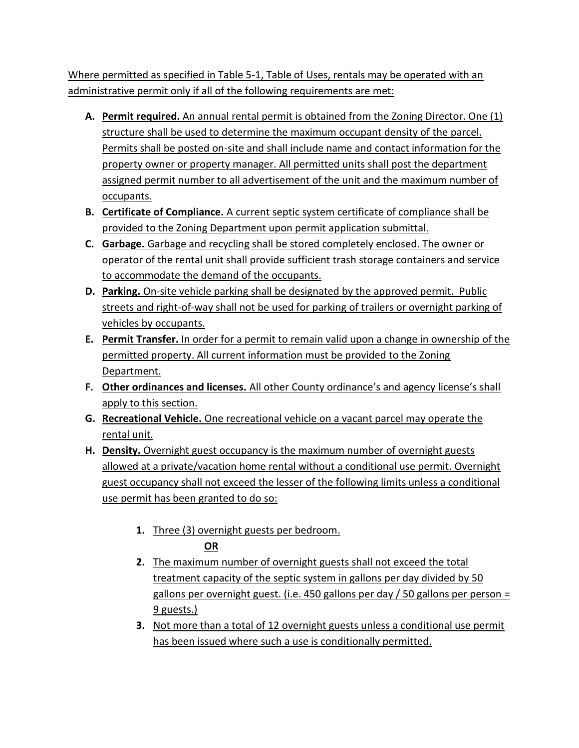Where permitted as specified in Table 5-1, Table of Uses, rentals may be operated with an administrative permit only if all of the following requirements are met:

- **A. Permit required.** An annual rental permit is obtained from the Zoning Director. One (1) structure shall be used to determine the maximum occupant density of the parcel. Permits shall be posted on-site and shall include name and contact information for the property owner or property manager. All permitted units shall post the department assigned permit number to all advertisement of the unit and the maximum number of occupants.
- **B. Certificate of Compliance.** A current septic system certificate of compliance shall be provided to the Zoning Department upon permit application submittal.
- **C. Garbage.** Garbage and recycling shall be stored completely enclosed. The owner or operator of the rental unit shall provide sufficient trash storage containers and service to accommodate the demand of the occupants.
- **D. Parking.** On-site vehicle parking shall be designated by the approved permit. Public streets and right-of-way shall not be used for parking of trailers or overnight parking of vehicles by occupants.
- **E. Permit Transfer.** In order for a permit to remain valid upon a change in ownership of the permitted property. All current information must be provided to the Zoning Department.
- **F. Other ordinances and licenses.** All other County ordinance's and agency license's shall apply to this section.
- **G. Recreational Vehicle.** One recreational vehicle on a vacant parcel may operate the rental unit.
- **H. Density.** Overnight guest occupancy is the maximum number of overnight guests allowed at a private/vacation home rental without a conditional use permit. Overnight guest occupancy shall not exceed the lesser of the following limits unless a conditional use permit has been granted to do so:
	- **1.** Three (3) overnight guests per bedroom. **OR**
	- **2.** The maximum number of overnight guests shall not exceed the total treatment capacity of the septic system in gallons per day divided by 50 gallons per overnight guest. (i.e. 450 gallons per day / 50 gallons per person = 9 guests.)
	- **3.** Not more than a total of 12 overnight guests unless a conditional use permit has been issued where such a use is conditionally permitted.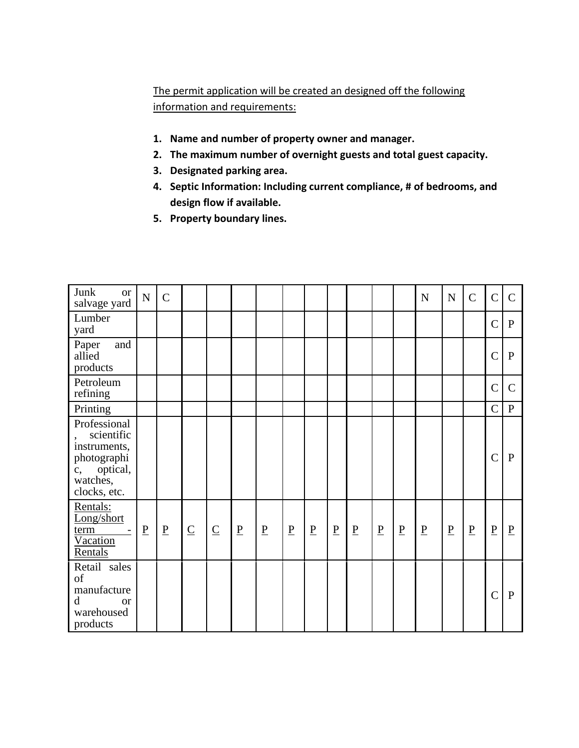### The permit application will be created an designed off the following information and requirements:

- **1. Name and number of property owner and manager.**
- **2. The maximum number of overnight guests and total guest capacity.**
- **3. Designated parking area.**
- **4. Septic Information: Including current compliance, # of bedrooms, and design flow if available.**
- **5. Property boundary lines.**

| Junk<br><b>or</b><br>salvage yard                                                                       | ${\bf N}$       | $\overline{C}$  |                 |                          |                 |                 |                 |                                      |                          |                          |                          |                 | N                        | ${\bf N}$       | $\mathbf C$              | $\overline{C}$  | $\mathsf{C}$   |
|---------------------------------------------------------------------------------------------------------|-----------------|-----------------|-----------------|--------------------------|-----------------|-----------------|-----------------|--------------------------------------|--------------------------|--------------------------|--------------------------|-----------------|--------------------------|-----------------|--------------------------|-----------------|----------------|
| Lumber<br>yard                                                                                          |                 |                 |                 |                          |                 |                 |                 |                                      |                          |                          |                          |                 |                          |                 |                          | $\mathcal{C}$   | $\mathbf{P}$   |
| Paper<br>and<br>allied<br>products                                                                      |                 |                 |                 |                          |                 |                 |                 |                                      |                          |                          |                          |                 |                          |                 |                          | $\overline{C}$  | $\mathbf{P}$   |
| Petroleum<br>refining                                                                                   |                 |                 |                 |                          |                 |                 |                 |                                      |                          |                          |                          |                 |                          |                 |                          | $\overline{C}$  | $\overline{C}$ |
| Printing                                                                                                |                 |                 |                 |                          |                 |                 |                 |                                      |                          |                          |                          |                 |                          |                 |                          | $\overline{C}$  | ${\bf P}$      |
| Professional<br>scientific<br>instruments,<br>photographi<br>optical,<br>c,<br>watches,<br>clocks, etc. |                 |                 |                 |                          |                 |                 |                 |                                      |                          |                          |                          |                 |                          |                 |                          | $\overline{C}$  | P              |
| Rentals:<br>Long/short<br>term<br>Vacation<br>Rentals                                                   | $\underline{P}$ | $\underline{P}$ | $\underline{C}$ | $\underline{\mathbf{C}}$ | $\underline{P}$ | $\underline{P}$ | $\underline{P}$ | $\underline{\underline{\mathbf{P}}}$ | $\underline{\mathbf{P}}$ | $\underline{\mathbf{P}}$ | $\underline{\mathbf{P}}$ | $\underline{P}$ | $\underline{\mathbf{P}}$ | $\underline{P}$ | $\underline{\mathbf{P}}$ | $\underline{P}$ | $\overline{P}$ |
| Retail sales<br>of<br>manufacture<br>d<br><sub>or</sub><br>warehoused<br>products                       |                 |                 |                 |                          |                 |                 |                 |                                      |                          |                          |                          |                 |                          |                 |                          | $\overline{C}$  | P              |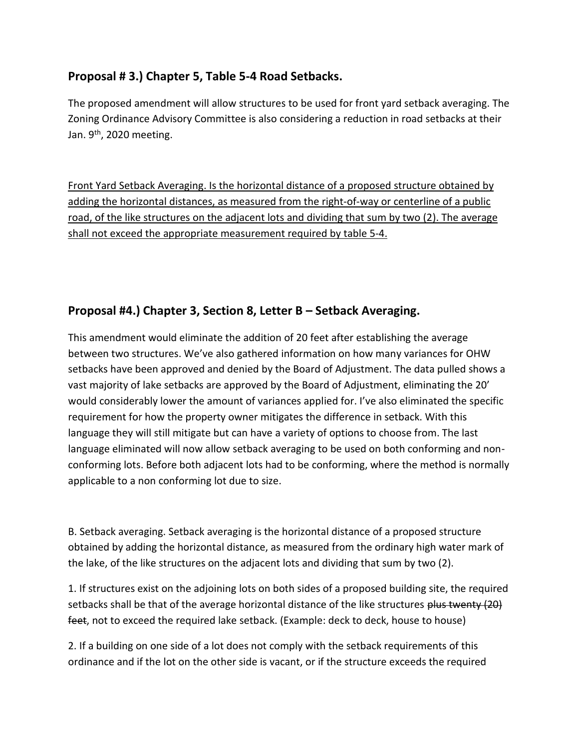#### **Proposal # 3.) Chapter 5, Table 5-4 Road Setbacks.**

The proposed amendment will allow structures to be used for front yard setback averaging. The Zoning Ordinance Advisory Committee is also considering a reduction in road setbacks at their Jan.  $9<sup>th</sup>$ , 2020 meeting.

Front Yard Setback Averaging. Is the horizontal distance of a proposed structure obtained by adding the horizontal distances, as measured from the right-of-way or centerline of a public road, of the like structures on the adjacent lots and dividing that sum by two (2). The average shall not exceed the appropriate measurement required by table 5-4.

### **Proposal #4.) Chapter 3, Section 8, Letter B – Setback Averaging.**

This amendment would eliminate the addition of 20 feet after establishing the average between two structures. We've also gathered information on how many variances for OHW setbacks have been approved and denied by the Board of Adjustment. The data pulled shows a vast majority of lake setbacks are approved by the Board of Adjustment, eliminating the 20' would considerably lower the amount of variances applied for. I've also eliminated the specific requirement for how the property owner mitigates the difference in setback. With this language they will still mitigate but can have a variety of options to choose from. The last language eliminated will now allow setback averaging to be used on both conforming and nonconforming lots. Before both adjacent lots had to be conforming, where the method is normally applicable to a non conforming lot due to size.

B. Setback averaging. Setback averaging is the horizontal distance of a proposed structure obtained by adding the horizontal distance, as measured from the ordinary high water mark of the lake, of the like structures on the adjacent lots and dividing that sum by two (2).

1. If structures exist on the adjoining lots on both sides of a proposed building site, the required setbacks shall be that of the average horizontal distance of the like structures plus twenty (20) feet, not to exceed the required lake setback. (Example: deck to deck, house to house)

2. If a building on one side of a lot does not comply with the setback requirements of this ordinance and if the lot on the other side is vacant, or if the structure exceeds the required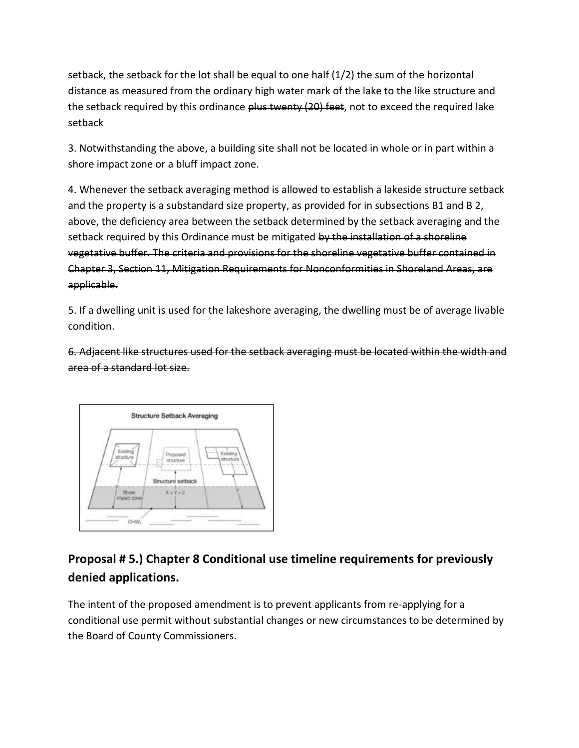setback, the setback for the lot shall be equal to one half (1/2) the sum of the horizontal distance as measured from the ordinary high water mark of the lake to the like structure and the setback required by this ordinance plus twenty (20) feet, not to exceed the required lake setback

3. Notwithstanding the above, a building site shall not be located in whole or in part within a shore impact zone or a bluff impact zone.

4. Whenever the setback averaging method is allowed to establish a lakeside structure setback and the property is a substandard size property, as provided for in subsections B1 and B 2, above, the deficiency area between the setback determined by the setback averaging and the setback required by this Ordinance must be mitigated by the installation of a shoreline vegetative buffer. The criteria and provisions for the shoreline vegetative buffer contained in Chapter 3, Section 11, Mitigation Requirements for Nonconformities in Shoreland Areas, are applicable.

5. If a dwelling unit is used for the lakeshore averaging, the dwelling must be of average livable condition.

6. Adjacent like structures used for the setback averaging must be located within the width and area of a standard lot size.



# **Proposal # 5.) Chapter 8 Conditional use timeline requirements for previously denied applications.**

The intent of the proposed amendment is to prevent applicants from re-applying for a conditional use permit without substantial changes or new circumstances to be determined by the Board of County Commissioners.